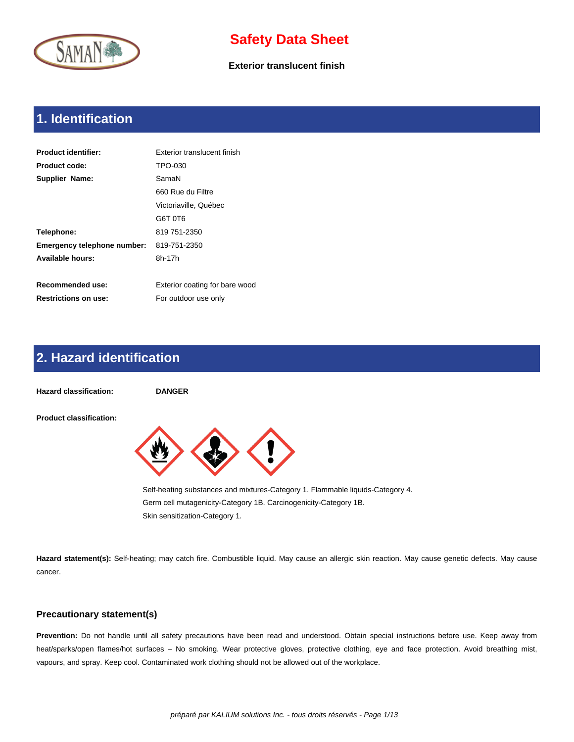

**Exterior translucent finish**

# **1. Identification**

| <b>Product identifier:</b>  | Exterior translucent finish    |
|-----------------------------|--------------------------------|
| <b>Product code:</b>        | TPO-030                        |
| <b>Supplier Name:</b>       | SamaN                          |
|                             | 660 Rue du Filtre              |
|                             | Victoriaville, Québec          |
|                             | G6T 0T6                        |
| Telephone:                  | 819 751-2350                   |
| Emergency telephone number: | 819-751-2350                   |
| <b>Available hours:</b>     | 8h-17h                         |
|                             |                                |
| Recommended use:            | Exterior coating for bare wood |
| <b>Restrictions on use:</b> | For outdoor use only           |

## **2. Hazard identification**



**Hazard statement(s):** Self-heating; may catch fire. Combustible liquid. May cause an allergic skin reaction. May cause genetic defects. May cause cancer.

### **Precautionary statement(s)**

**Prevention:** Do not handle until all safety precautions have been read and understood. Obtain special instructions before use. Keep away from heat/sparks/open flames/hot surfaces – No smoking. Wear protective gloves, protective clothing, eye and face protection. Avoid breathing mist, vapours, and spray. Keep cool. Contaminated work clothing should not be allowed out of the workplace.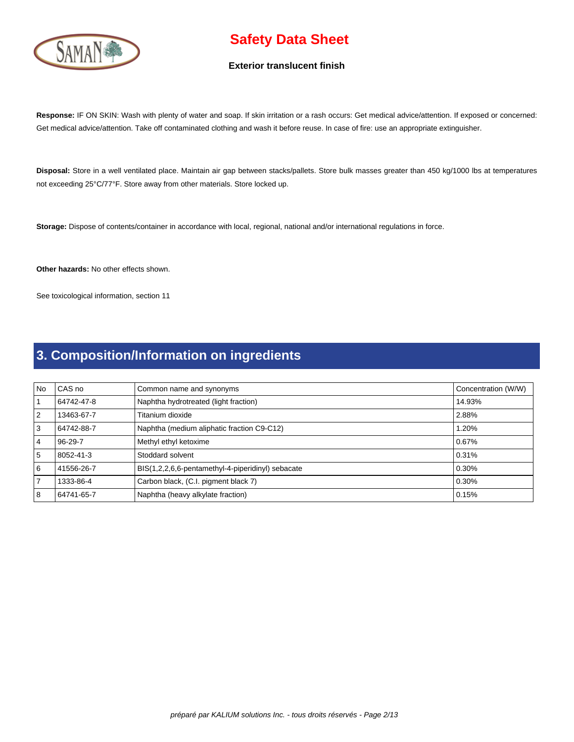

### **Exterior translucent finish**

**Response:** IF ON SKIN: Wash with plenty of water and soap. If skin irritation or a rash occurs: Get medical advice/attention. If exposed or concerned: Get medical advice/attention. Take off contaminated clothing and wash it before reuse. In case of fire: use an appropriate extinguisher.

**Disposal:** Store in a well ventilated place. Maintain air gap between stacks/pallets. Store bulk masses greater than 450 kg/1000 lbs at temperatures not exceeding 25°C/77°F. Store away from other materials. Store locked up.

**Storage:** Dispose of contents/container in accordance with local, regional, national and/or international regulations in force.

**Other hazards:** No other effects shown.

See toxicological information, section 11

## **3. Composition/Information on ingredients**

| l No           | CAS no        | Common name and synonyms                          | Concentration (W/W) |
|----------------|---------------|---------------------------------------------------|---------------------|
|                | 64742-47-8    | Naphtha hydrotreated (light fraction)             | 14.93%              |
| 2              | 13463-67-7    | Titanium dioxide                                  | 2.88%               |
| 3              | 64742-88-7    | Naphtha (medium aliphatic fraction C9-C12)        | 1.20%               |
| $\overline{4}$ | $96 - 29 - 7$ | Methyl ethyl ketoxime                             | 0.67%               |
| 15             | 8052-41-3     | Stoddard solvent                                  | 0.31%               |
| 16             | 41556-26-7    | BIS(1,2,2,6,6-pentamethyl-4-piperidinyl) sebacate | 0.30%               |
| 7              | 1333-86-4     | Carbon black, (C.I. pigment black 7)              | 0.30%               |
| 18             | 64741-65-7    | Naphtha (heavy alkylate fraction)                 | 0.15%               |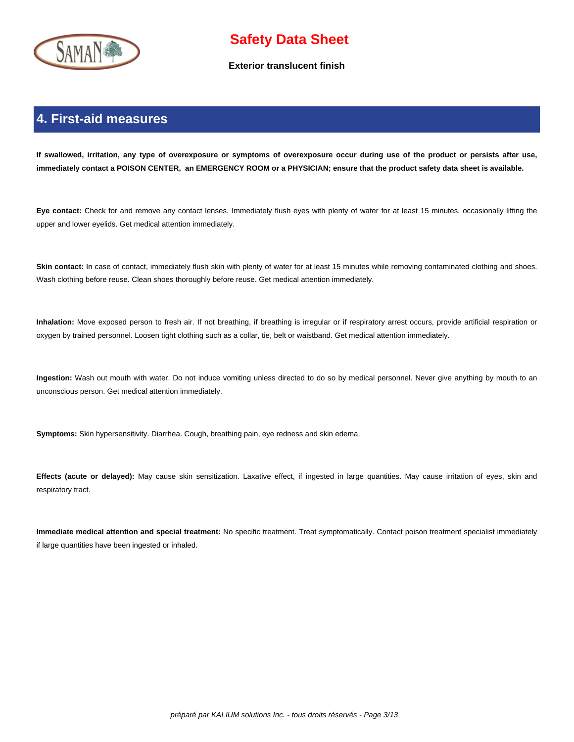

**Exterior translucent finish**

## **4. First-aid measures**

 **If swallowed, irritation, any type of overexposure or symptoms of overexposure occur during use of the product or persists after use, immediately contact a POISON CENTER, an EMERGENCY ROOM or a PHYSICIAN; ensure that the product safety data sheet is available.**

**Eye contact:** Check for and remove any contact lenses. Immediately flush eyes with plenty of water for at least 15 minutes, occasionally lifting the upper and lower eyelids. Get medical attention immediately.

Skin contact: In case of contact, immediately flush skin with plenty of water for at least 15 minutes while removing contaminated clothing and shoes. Wash clothing before reuse. Clean shoes thoroughly before reuse. Get medical attention immediately.

**Inhalation:** Move exposed person to fresh air. If not breathing, if breathing is irregular or if respiratory arrest occurs, provide artificial respiration or oxygen by trained personnel. Loosen tight clothing such as a collar, tie, belt or waistband. Get medical attention immediately.

**Ingestion:** Wash out mouth with water. Do not induce vomiting unless directed to do so by medical personnel. Never give anything by mouth to an unconscious person. Get medical attention immediately.

**Symptoms:** Skin hypersensitivity. Diarrhea. Cough, breathing pain, eye redness and skin edema.

**Effects (acute or delayed):** May cause skin sensitization. Laxative effect, if ingested in large quantities. May cause irritation of eyes, skin and respiratory tract.

**Immediate medical attention and special treatment:** No specific treatment. Treat symptomatically. Contact poison treatment specialist immediately if large quantities have been ingested or inhaled.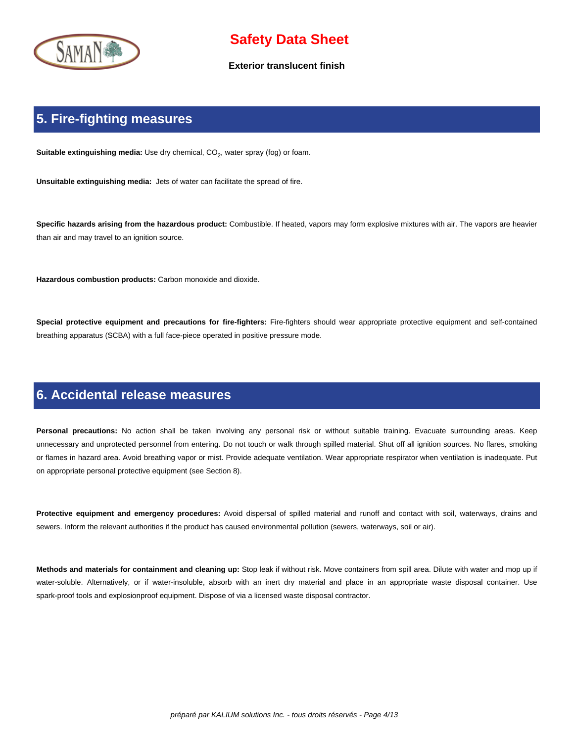

#### **Exterior translucent finish**

## **5. Fire-fighting measures**

**Suitable extinguishing media:** Use dry chemical, CO<sub>2</sub>, water spray (fog) or foam.

**Unsuitable extinguishing media:** Jets of water can facilitate the spread of fire.

**Specific hazards arising from the hazardous product:** Combustible. If heated, vapors may form explosive mixtures with air. The vapors are heavier than air and may travel to an ignition source.

**Hazardous combustion products:** Carbon monoxide and dioxide.

**Special protective equipment and precautions for fire-fighters:** Fire-fighters should wear appropriate protective equipment and self-contained breathing apparatus (SCBA) with a full face-piece operated in positive pressure mode.

### **6. Accidental release measures**

Personal precautions: No action shall be taken involving any personal risk or without suitable training. Evacuate surrounding areas. Keep unnecessary and unprotected personnel from entering. Do not touch or walk through spilled material. Shut off all ignition sources. No flares, smoking or flames in hazard area. Avoid breathing vapor or mist. Provide adequate ventilation. Wear appropriate respirator when ventilation is inadequate. Put on appropriate personal protective equipment (see Section 8).

**Protective equipment and emergency procedures:** Avoid dispersal of spilled material and runoff and contact with soil, waterways, drains and sewers. Inform the relevant authorities if the product has caused environmental pollution (sewers, waterways, soil or air).

**Methods and materials for containment and cleaning up:** Stop leak if without risk. Move containers from spill area. Dilute with water and mop up if water-soluble. Alternatively, or if water-insoluble, absorb with an inert dry material and place in an appropriate waste disposal container. Use spark-proof tools and explosionproof equipment. Dispose of via a licensed waste disposal contractor.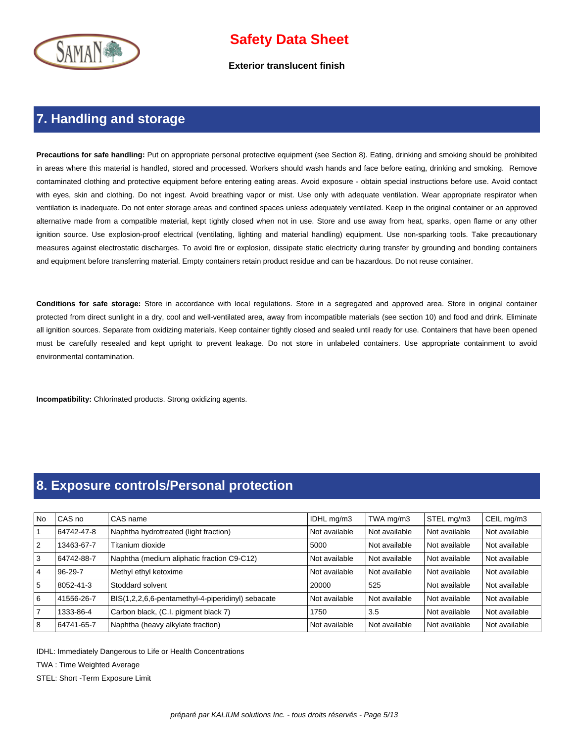

**Exterior translucent finish**

### **7. Handling and storage**

**Precautions for safe handling:** Put on appropriate personal protective equipment (see Section 8). Eating, drinking and smoking should be prohibited in areas where this material is handled, stored and processed. Workers should wash hands and face before eating, drinking and smoking. Remove contaminated clothing and protective equipment before entering eating areas. Avoid exposure - obtain special instructions before use. Avoid contact with eyes, skin and clothing. Do not ingest. Avoid breathing vapor or mist. Use only with adequate ventilation. Wear appropriate respirator when ventilation is inadequate. Do not enter storage areas and confined spaces unless adequately ventilated. Keep in the original container or an approved alternative made from a compatible material, kept tightly closed when not in use. Store and use away from heat, sparks, open flame or any other ignition source. Use explosion-proof electrical (ventilating, lighting and material handling) equipment. Use non-sparking tools. Take precautionary measures against electrostatic discharges. To avoid fire or explosion, dissipate static electricity during transfer by grounding and bonding containers and equipment before transferring material. Empty containers retain product residue and can be hazardous. Do not reuse container.

**Conditions for safe storage:** Store in accordance with local regulations. Store in a segregated and approved area. Store in original container protected from direct sunlight in a dry, cool and well-ventilated area, away from incompatible materials (see section 10) and food and drink. Eliminate all ignition sources. Separate from oxidizing materials. Keep container tightly closed and sealed until ready for use. Containers that have been opened must be carefully resealed and kept upright to prevent leakage. Do not store in unlabeled containers. Use appropriate containment to avoid environmental contamination.

**Incompatibility:** Chlorinated products. Strong oxidizing agents.

### **8. Exposure controls/Personal protection**

| <b>No</b>      | CAS no        | CAS name                                          | IDHL mg/m3    | TWA mg/m3     | STEL mg/m3    | CEIL mg/m3    |
|----------------|---------------|---------------------------------------------------|---------------|---------------|---------------|---------------|
|                | 64742-47-8    | Naphtha hydrotreated (light fraction)             | Not available | Not available | Not available | Not available |
| <u>2</u>       | 13463-67-7    | Titanium dioxide                                  | 5000          | Not available | Not available | Not available |
| 3              | 64742-88-7    | Naphtha (medium aliphatic fraction C9-C12)        | Not available | Not available | Not available | Not available |
| $\overline{4}$ | $96 - 29 - 7$ | Methyl ethyl ketoxime                             | Not available | Not available | Not available | Not available |
| 5              | 8052-41-3     | Stoddard solvent                                  | 20000         | 525           | Not available | Not available |
| 6              | 41556-26-7    | BIS(1,2,2,6,6-pentamethyl-4-piperidinyl) sebacate | Not available | Not available | Not available | Not available |
| $\overline{7}$ | 1333-86-4     | Carbon black, (C.I. pigment black 7)              | 1750          | 3.5           | Not available | Not available |
| 8              | 64741-65-7    | Naphtha (heavy alkylate fraction)                 | Not available | Not available | Not available | Not available |

IDHL: Immediately Dangerous to Life or Health Concentrations

TWA : Time Weighted Average

STEL: Short -Term Exposure Limit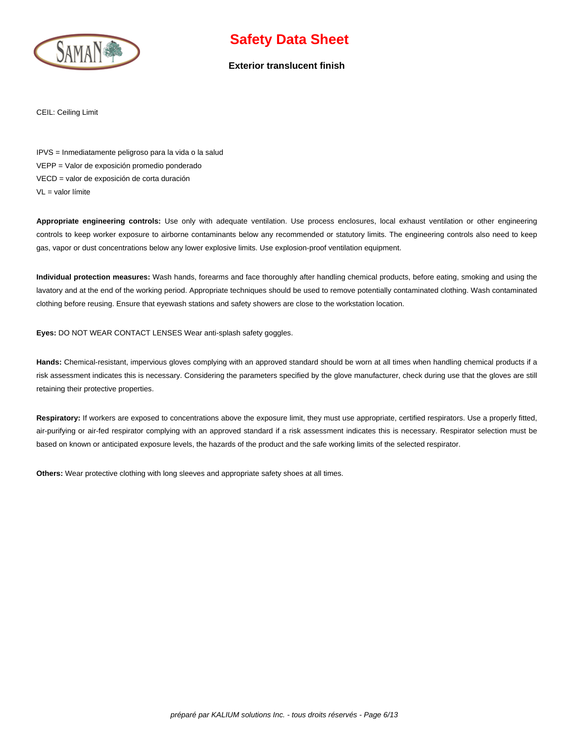

#### **Exterior translucent finish**

CEIL: Ceiling Limit

IPVS = Inmediatamente peligroso para la vida o la salud VEPP = Valor de exposición promedio ponderado VECD = valor de exposición de corta duración VL = valor límite

**Appropriate engineering controls:** Use only with adequate ventilation. Use process enclosures, local exhaust ventilation or other engineering controls to keep worker exposure to airborne contaminants below any recommended or statutory limits. The engineering controls also need to keep gas, vapor or dust concentrations below any lower explosive limits. Use explosion-proof ventilation equipment.

**Individual protection measures:** Wash hands, forearms and face thoroughly after handling chemical products, before eating, smoking and using the lavatory and at the end of the working period. Appropriate techniques should be used to remove potentially contaminated clothing. Wash contaminated clothing before reusing. Ensure that eyewash stations and safety showers are close to the workstation location.

**Eyes:** DO NOT WEAR CONTACT LENSES Wear anti-splash safety goggles.

**Hands:** Chemical-resistant, impervious gloves complying with an approved standard should be worn at all times when handling chemical products if a risk assessment indicates this is necessary. Considering the parameters specified by the glove manufacturer, check during use that the gloves are still retaining their protective properties.

Respiratory: If workers are exposed to concentrations above the exposure limit, they must use appropriate, certified respirators. Use a properly fitted, air-purifying or air-fed respirator complying with an approved standard if a risk assessment indicates this is necessary. Respirator selection must be based on known or anticipated exposure levels, the hazards of the product and the safe working limits of the selected respirator.

**Others:** Wear protective clothing with long sleeves and appropriate safety shoes at all times.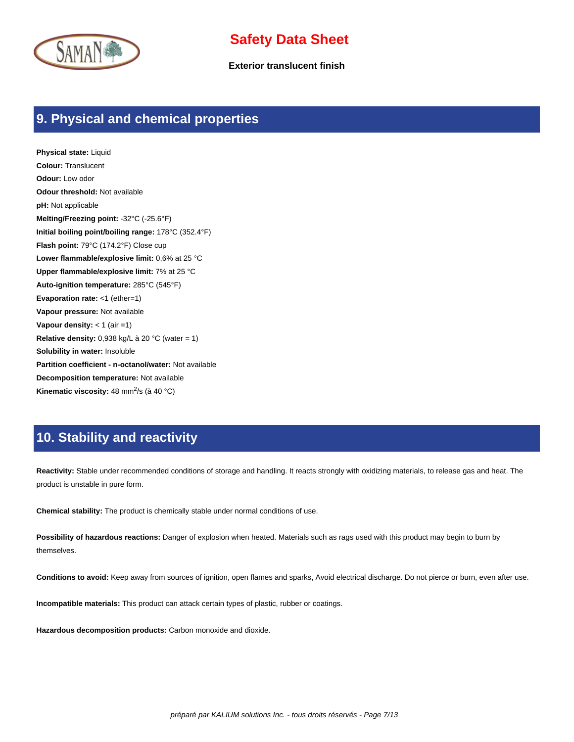

**Exterior translucent finish**

## **9. Physical and chemical properties**

**Physical state:** Liquid **Colour:** Translucent **Odour:** Low odor **Odour threshold:** Not available **pH:** Not applicable **Melting/Freezing point:** -32°C (-25.6°F) **Initial boiling point/boiling range:** 178°C (352.4°F) **Flash point:** 79°C (174.2°F) Close cup **Lower flammable/explosive limit:** 0,6% at 25 °C **Upper flammable/explosive limit:** 7% at 25 °C **Auto-ignition temperature:** 285°C (545°F) **Evaporation rate:** <1 (ether=1) **Vapour pressure:** Not available **Vapour density:** < 1 (air =1) **Relative density:** 0,938 kg/L à 20 °C (water = 1) **Solubility in water:** Insoluble **Partition coefficient - n-octanol/water:** Not available **Decomposition temperature:** Not available Kinematic viscosity: 48 mm<sup>2</sup>/s (à 40 °C)

## **10. Stability and reactivity**

**Reactivity:** Stable under recommended conditions of storage and handling. It reacts strongly with oxidizing materials, to release gas and heat. The product is unstable in pure form.

**Chemical stability:** The product is chemically stable under normal conditions of use.

**Possibility of hazardous reactions:** Danger of explosion when heated. Materials such as rags used with this product may begin to burn by themselves.

**Conditions to avoid:** Keep away from sources of ignition, open flames and sparks, Avoid electrical discharge. Do not pierce or burn, even after use.

**Incompatible materials:** This product can attack certain types of plastic, rubber or coatings.

**Hazardous decomposition products:** Carbon monoxide and dioxide.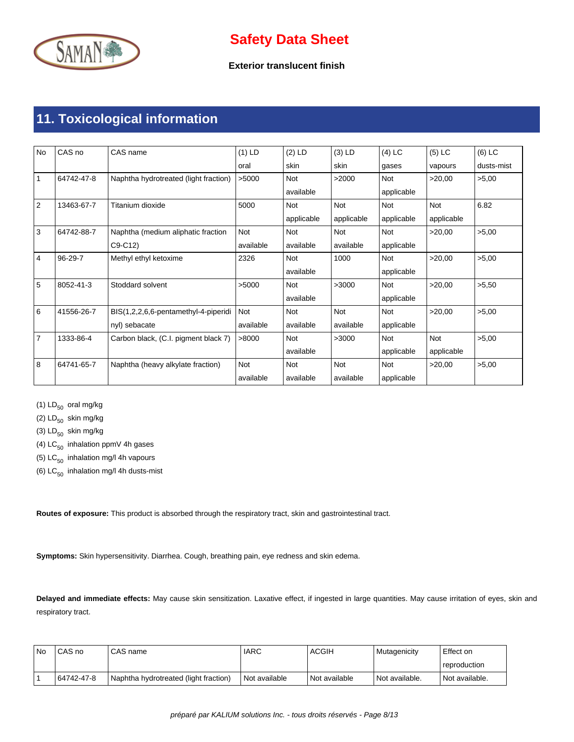

**Exterior translucent finish**

# **11. Toxicological information**

| <b>No</b>      | CAS no        | CAS name                              | $(1)$ LD  | $(2)$ LD   | $(3)$ LD   | $(4)$ LC   | $(5)$ LC   | $(6)$ LC   |
|----------------|---------------|---------------------------------------|-----------|------------|------------|------------|------------|------------|
|                |               |                                       | oral      | skin       | skin       | gases      | vapours    | dusts-mist |
| 1              | 64742-47-8    | Naphtha hydrotreated (light fraction) | >5000     | Not        | >2000      | Not        | >20,00     | >5,00      |
|                |               |                                       |           | available  |            | applicable |            |            |
| 2              | 13463-67-7    | Titanium dioxide                      | 5000      | <b>Not</b> | Not        | Not        | <b>Not</b> | 6.82       |
|                |               |                                       |           | applicable | applicable | applicable | applicable |            |
| 3              | 64742-88-7    | Naphtha (medium aliphatic fraction    | Not       | Not        | Not        | Not        | >20,00     | >5,00      |
|                |               | $C9-C12$                              | available | available  | available  | applicable |            |            |
| 4              | $96 - 29 - 7$ | Methyl ethyl ketoxime                 | 2326      | <b>Not</b> | 1000       | Not        | >20,00     | >5,00      |
|                |               |                                       |           | available  |            | applicable |            |            |
| 5              | 8052-41-3     | Stoddard solvent                      | >5000     | Not        | >3000      | Not        | >20,00     | >5,50      |
|                |               |                                       |           | available  |            | applicable |            |            |
| 6              | 41556-26-7    | BIS(1,2,2,6,6-pentamethyl-4-piperidi  | Not       | Not        | Not        | Not        | >20,00     | >5,00      |
|                |               | nyl) sebacate                         | available | available  | available  | applicable |            |            |
| $\overline{7}$ | 1333-86-4     | Carbon black, (C.I. pigment black 7)  | >8000     | Not        | >3000      | <b>Not</b> | Not        | >5,00      |
|                |               |                                       |           | available  |            | applicable | applicable |            |
| 8              | 64741-65-7    | Naphtha (heavy alkylate fraction)     | Not       | Not        | <b>Not</b> | Not        | >20,00     | >5,00      |
|                |               |                                       | available | available  | available  | applicable |            |            |

(1)  $LD_{50}$  oral mg/kg

(2)  $LD_{50}$  skin mg/kg

(3)  $LD_{50}$  skin mg/kg

(4)  $LC_{50}$  inhalation ppmV 4h gases

(5)  $LC_{50}$  inhalation mg/l 4h vapours

(6)  $LC_{50}$  inhalation mg/l 4h dusts-mist

**Routes of exposure:** This product is absorbed through the respiratory tract, skin and gastrointestinal tract.

**Symptoms:** Skin hypersensitivity. Diarrhea. Cough, breathing pain, eye redness and skin edema.

**Delayed and immediate effects:** May cause skin sensitization. Laxative effect, if ingested in large quantities. May cause irritation of eyes, skin and respiratory tract.

| l No | CAS no     | CAS name                              | <b>IARC</b>     | ACGIH         | <b>Mutagenicity</b>         | Effect on        |
|------|------------|---------------------------------------|-----------------|---------------|-----------------------------|------------------|
|      |            |                                       |                 |               |                             | l reproduction   |
|      | 64742-47-8 | Naphtha hydrotreated (light fraction) | I Not available | Not available | <sup>1</sup> Not available. | l Not available. |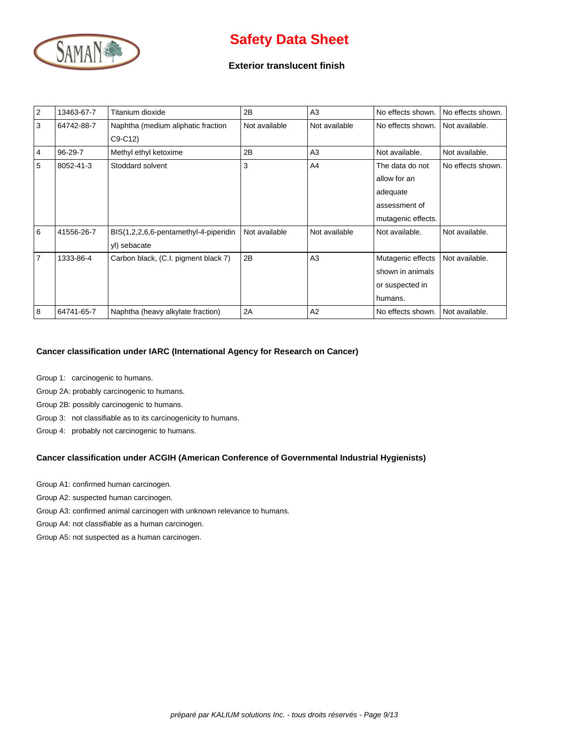

### **Exterior translucent finish**

| $\overline{2}$ | 13463-67-7 | Titanium dioxide                      | 2B            | A3             | No effects shown.  | No effects shown. |
|----------------|------------|---------------------------------------|---------------|----------------|--------------------|-------------------|
| 3              | 64742-88-7 | Naphtha (medium aliphatic fraction    | Not available | Not available  | No effects shown.  | Not available.    |
|                |            | $C9-C12$                              |               |                |                    |                   |
| 4              | 96-29-7    | Methyl ethyl ketoxime                 | 2B            | A3             | Not available.     | Not available.    |
| 5              | 8052-41-3  | Stoddard solvent                      | 3             | A4             | The data do not    | No effects shown. |
|                |            |                                       |               |                | allow for an       |                   |
|                |            |                                       |               |                | adequate           |                   |
|                |            |                                       |               |                | assessment of      |                   |
|                |            |                                       |               |                | mutagenic effects. |                   |
| 6              | 41556-26-7 | BIS(1,2,2,6,6-pentamethyl-4-piperidin | Not available | Not available  | Not available.     | Not available.    |
|                |            | yl) sebacate                          |               |                |                    |                   |
| 7              | 1333-86-4  | Carbon black, (C.I. pigment black 7)  | 2B            | A3             | Mutagenic effects  | Not available.    |
|                |            |                                       |               |                | shown in animals   |                   |
|                |            |                                       |               |                | or suspected in    |                   |
|                |            |                                       |               |                | humans.            |                   |
| 8              | 64741-65-7 | Naphtha (heavy alkylate fraction)     | 2A            | A <sub>2</sub> | No effects shown.  | Not available.    |

### **Cancer classification under IARC (International Agency for Research on Cancer)**

Group 1: carcinogenic to humans.

Group 2A: probably carcinogenic to humans.

Group 2B: possibly carcinogenic to humans.

Group 3: not classifiable as to its carcinogenicity to humans.

Group 4: probably not carcinogenic to humans.

### **Cancer classification under ACGIH (American Conference of Governmental Industrial Hygienists)**

Group A1: confirmed human carcinogen.

Group A2: suspected human carcinogen.

Group A3: confirmed animal carcinogen with unknown relevance to humans.

Group A4: not classifiable as a human carcinogen.

Group A5: not suspected as a human carcinogen.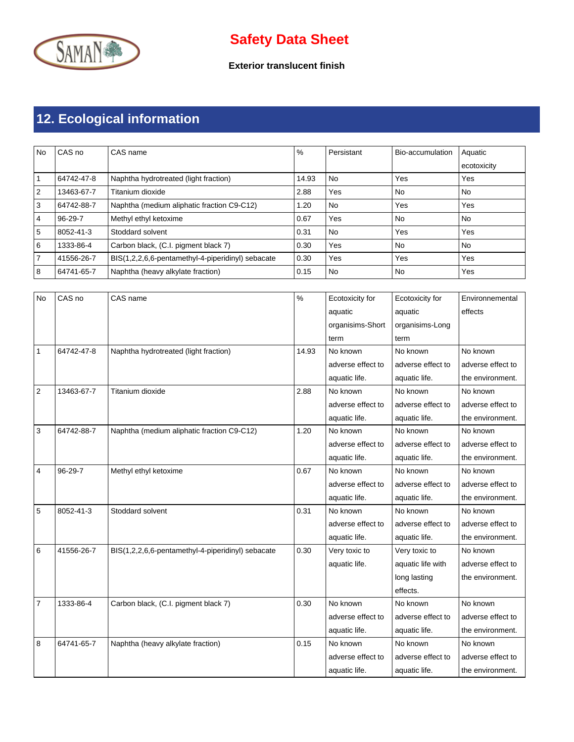

### **Exterior translucent finish**

# **12. Ecological information**

| <b>No</b>      | CAS no        | CAS name                                          | %     | Persistant | Bio-accumulation | Aquatic     |
|----------------|---------------|---------------------------------------------------|-------|------------|------------------|-------------|
|                |               |                                                   |       |            |                  | ecotoxicity |
|                | 64742-47-8    | Naphtha hydrotreated (light fraction)             | 14.93 | <b>No</b>  | Yes              | Yes         |
| 2              | 13463-67-7    | Titanium dioxide                                  | 2.88  | Yes        | <b>No</b>        | No.         |
| 3              | 64742-88-7    | Naphtha (medium aliphatic fraction C9-C12)        | 1.20  | No         | Yes              | Yes         |
| $\overline{4}$ | $96 - 29 - 7$ | Methyl ethyl ketoxime                             | 0.67  | Yes        | No               | <b>No</b>   |
| 5              | 8052-41-3     | Stoddard solvent                                  | 0.31  | No         | Yes              | Yes         |
| l 6            | 1333-86-4     | Carbon black, (C.I. pigment black 7)              | 0.30  | Yes        | <b>No</b>        | <b>No</b>   |
| $\overline{7}$ | 41556-26-7    | BIS(1,2,2,6,6-pentamethyl-4-piperidinyl) sebacate | 0.30  | Yes        | Yes              | Yes         |
| 8              | 64741-65-7    | Naphtha (heavy alkylate fraction)                 | 0.15  | No         | <b>No</b>        | Yes         |

| <b>No</b>      | CAS no        | CAS name                                          | $\%$  | Ecotoxicity for   | Ecotoxicity for   | Environnemental   |
|----------------|---------------|---------------------------------------------------|-------|-------------------|-------------------|-------------------|
|                |               |                                                   |       | aquatic           | aquatic           | effects           |
|                |               |                                                   |       | organisims-Short  | organisims-Long   |                   |
|                |               |                                                   |       | term              | term              |                   |
| $\mathbf{1}$   | 64742-47-8    | Naphtha hydrotreated (light fraction)             | 14.93 | No known          | No known          | No known          |
|                |               |                                                   |       | adverse effect to | adverse effect to | adverse effect to |
|                |               |                                                   |       | aquatic life.     | aquatic life.     | the environment.  |
| $\overline{2}$ | 13463-67-7    | Titanium dioxide                                  | 2.88  | No known          | No known          | No known          |
|                |               |                                                   |       | adverse effect to | adverse effect to | adverse effect to |
|                |               |                                                   |       | aquatic life.     | aquatic life.     | the environment.  |
| 3              | 64742-88-7    | Naphtha (medium aliphatic fraction C9-C12)        | 1.20  | No known          | No known          | No known          |
|                |               |                                                   |       | adverse effect to | adverse effect to | adverse effect to |
|                |               |                                                   |       | aquatic life.     | aquatic life.     | the environment.  |
| $\overline{4}$ | $96 - 29 - 7$ | Methyl ethyl ketoxime                             | 0.67  | No known          | No known          | No known          |
|                |               |                                                   |       | adverse effect to | adverse effect to | adverse effect to |
|                |               |                                                   |       | aquatic life.     | aquatic life.     | the environment.  |
| 5              | 8052-41-3     | Stoddard solvent                                  | 0.31  | No known          | No known          | No known          |
|                |               |                                                   |       | adverse effect to | adverse effect to | adverse effect to |
|                |               |                                                   |       | aquatic life.     | aquatic life.     | the environment.  |
| 6              | 41556-26-7    | BIS(1,2,2,6,6-pentamethyl-4-piperidinyl) sebacate | 0.30  | Very toxic to     | Very toxic to     | No known          |
|                |               |                                                   |       | aquatic life.     | aquatic life with | adverse effect to |
|                |               |                                                   |       |                   | long lasting      | the environment.  |
|                |               |                                                   |       |                   | effects.          |                   |
| $\overline{7}$ | 1333-86-4     | Carbon black, (C.I. pigment black 7)              | 0.30  | No known          | No known          | No known          |
|                |               |                                                   |       | adverse effect to | adverse effect to | adverse effect to |
|                |               |                                                   |       | aquatic life.     | aquatic life.     | the environment.  |
| 8              | 64741-65-7    | Naphtha (heavy alkylate fraction)                 | 0.15  | No known          | No known          | No known          |
|                |               |                                                   |       | adverse effect to | adverse effect to | adverse effect to |
|                |               |                                                   |       | aquatic life.     | aquatic life.     | the environment.  |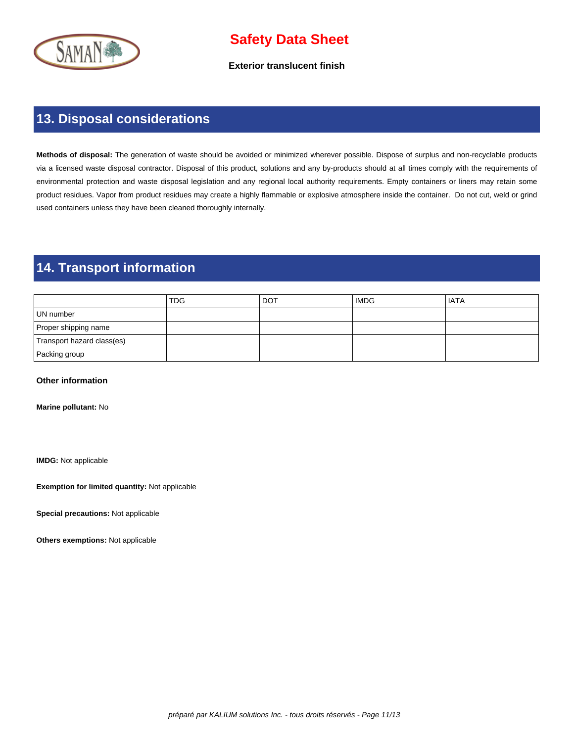

**Exterior translucent finish**

## **13. Disposal considerations**

**Methods of disposal:** The generation of waste should be avoided or minimized wherever possible. Dispose of surplus and non-recyclable products via a licensed waste disposal contractor. Disposal of this product, solutions and any by-products should at all times comply with the requirements of environmental protection and waste disposal legislation and any regional local authority requirements. Empty containers or liners may retain some product residues. Vapor from product residues may create a highly flammable or explosive atmosphere inside the container. Do not cut, weld or grind used containers unless they have been cleaned thoroughly internally.

## **14. Transport information**

|                            | <b>TDG</b> | l dot | <b>IMDG</b> | <b>I</b> IATA |
|----------------------------|------------|-------|-------------|---------------|
| UN number                  |            |       |             |               |
| Proper shipping name       |            |       |             |               |
| Transport hazard class(es) |            |       |             |               |
| Packing group              |            |       |             |               |

#### **Other information**

**Marine pollutant:** No

**IMDG:** Not applicable

**Exemption for limited quantity:** Not applicable

**Special precautions:** Not applicable

**Others exemptions:** Not applicable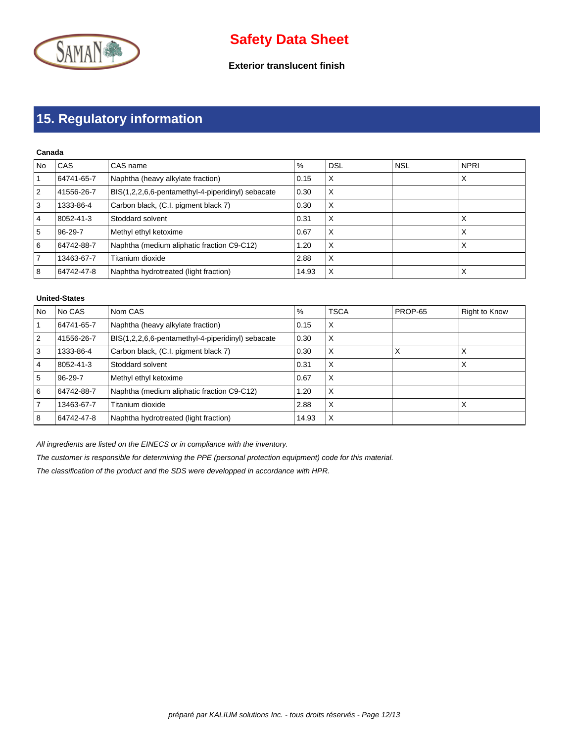

### **Exterior translucent finish**

# **15. Regulatory information**

#### **Canada**

| No | CAS           | CAS name                                          | %            | <b>DSL</b> | <b>NSL</b> | <b>NPRI</b> |
|----|---------------|---------------------------------------------------|--------------|------------|------------|-------------|
|    | 64741-65-7    | Naphtha (heavy alkylate fraction)                 | 0.15         | х          |            | $\lambda$   |
| 2  | 41556-26-7    | BIS(1,2,2,6,6-pentamethyl-4-piperidinyl) sebacate | 0.30         | х          |            |             |
| 3  | 1333-86-4     | Carbon black, (C.I. pigment black 7)              | 0.30         | х          |            |             |
| 4  | 8052-41-3     | Stoddard solvent                                  | $\vert 0.31$ | X          |            |             |
| 5  | $96 - 29 - 7$ | Methyl ethyl ketoxime                             | 0.67         | X          |            |             |
| 6  | 64742-88-7    | Naphtha (medium aliphatic fraction C9-C12)        | 1.20         | X          |            |             |
|    | 13463-67-7    | Titanium dioxide                                  | 2.88         | х          |            |             |
| 8  | 64742-47-8    | Naphtha hydrotreated (light fraction)             | 14.93        | X          |            |             |

### **United-States**

| No  | No CAS     | Nom CAS                                           | %     | <b>TSCA</b> | PROP-65 | Right to Know |
|-----|------------|---------------------------------------------------|-------|-------------|---------|---------------|
|     | 64741-65-7 | Naphtha (heavy alkylate fraction)                 | 0.15  | Х           |         |               |
| 2   | 41556-26-7 | BIS(1,2,2,6,6-pentamethyl-4-piperidinyl) sebacate | 0.30  | X           |         |               |
| 3   | 1333-86-4  | Carbon black, (C.I. pigment black 7)              | 0.30  | X           |         |               |
| 4   | 8052-41-3  | Stoddard solvent                                  | 0.31  | X           |         |               |
| . 5 | 96-29-7    | Methyl ethyl ketoxime                             | 0.67  | X           |         |               |
| 6   | 64742-88-7 | Naphtha (medium aliphatic fraction C9-C12)        | 1.20  | X           |         |               |
|     | 13463-67-7 | Titanium dioxide                                  | 2.88  | X           |         |               |
| 8   | 64742-47-8 | Naphtha hydrotreated (light fraction)             | 14.93 | X           |         |               |

All ingredients are listed on the EINECS or in compliance with the inventory.

The customer is responsible for determining the PPE (personal protection equipment) code for this material.

The classification of the product and the SDS were developped in accordance with HPR.